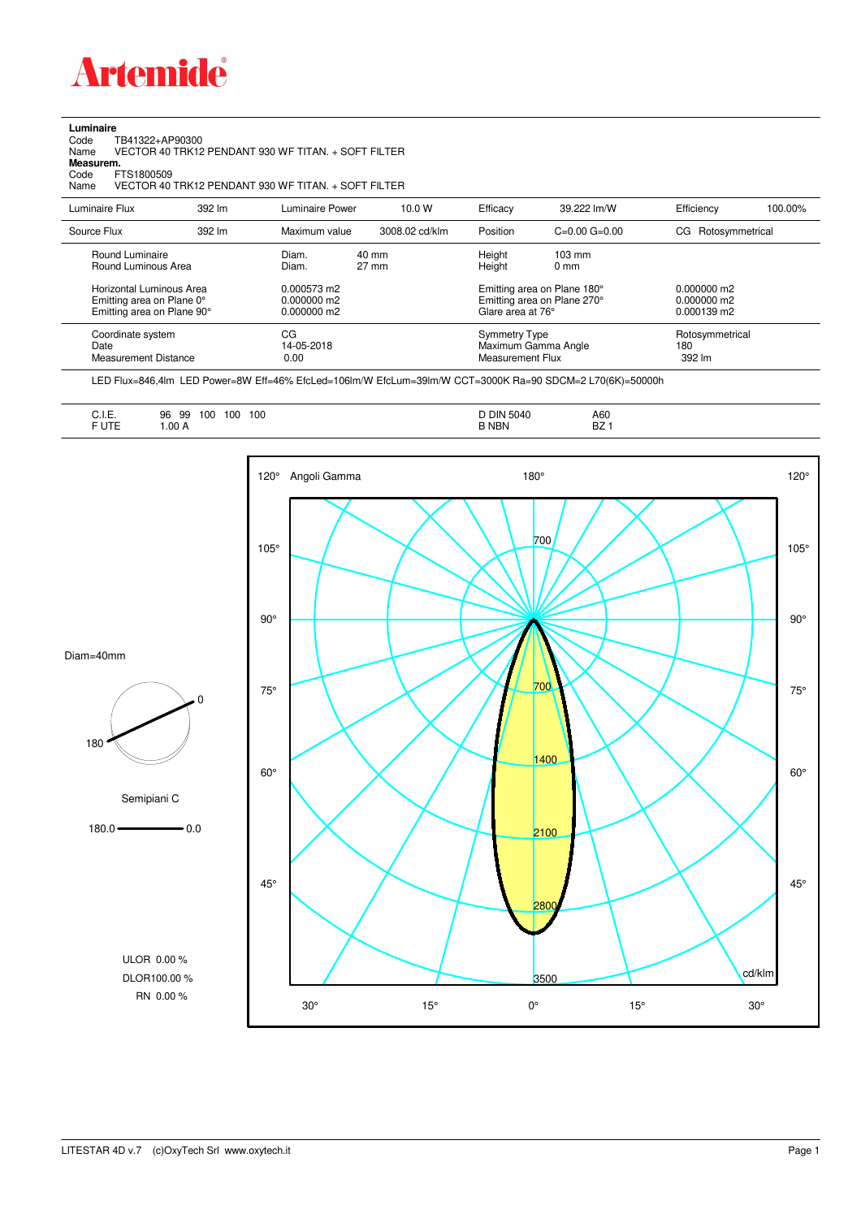

## **Luminaire**

Code TB41322+AP90300 Name VECTOR 40 TRK12 PENDANT 930 WF TITAN. + SOFT FILTER Code TI<br>Name V<br>**Measurem.** 

Code FTS1800509<br>Name VECTOR 40 Name VECTOR 40 TRK12 PENDANT 930 WF TITAN. + SOFT FILTER

| Luminaire Flux                                                                                                                | 392 lm | Luminaire Power                                                 | 10.0 W                   | Efficacy                                 | 39.222 lm/W                                                                                      | Efficiency                                      | 100.00% |
|-------------------------------------------------------------------------------------------------------------------------------|--------|-----------------------------------------------------------------|--------------------------|------------------------------------------|--------------------------------------------------------------------------------------------------|-------------------------------------------------|---------|
| Source Flux                                                                                                                   | 392 lm | Maximum value                                                   | 3008.02 cd/klm           | Position                                 | $C=0.00$ $G=0.00$                                                                                | CG Rotosymmetrical                              |         |
| Round Luminaire<br>Round Luminous Area<br>Horizontal Luminous Area<br>Emitting area on Plane 0°<br>Emitting area on Plane 90° |        | Diam.<br>Diam.<br>0.000573 m2<br>$0.000000$ m2<br>$0.000000$ m2 | 40 mm<br>$27 \text{ mm}$ | Height<br>Height<br>Glare area at 76°    | $103 \text{ mm}$<br>$0 \text{ mm}$<br>Emitting area on Plane 180°<br>Emitting area on Plane 270° | $0.000000$ m2<br>$0.000000$ m2<br>$0.000139$ m2 |         |
| Coordinate system<br>Date<br><b>Measurement Distance</b>                                                                      |        | CG<br>14-05-2018<br>0.00                                        |                          | <b>Symmetry Type</b><br>Measurement Flux | Maximum Gamma Angle                                                                              | Rotosymmetrical<br>180<br>392 lm                |         |

LED Flux=846,4lm LED Power=8W Eff=46% EfcLed=106lm/W EfcLum=39lm/W CCT=3000K Ra=90 SDCM=2 L70(6K)=50000h